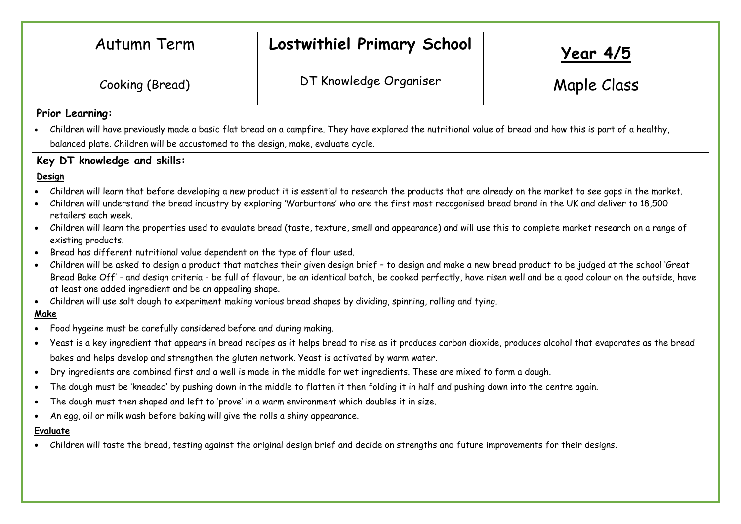| <b>Autumn Term</b>                                                                                                                                                                                                                                                                                                                                                                                                                                                       | Lostwithiel Primary School                                                                                                                                                                                                                                                                                                                                                                                                                                                                                                                                                                                                                                                                                                                                                                                                                                                                                                                                                                                                                                                                                                                                                                                                                                                                                                                                                                                                                                                                                  | <u> Year 4/5</u> |
|--------------------------------------------------------------------------------------------------------------------------------------------------------------------------------------------------------------------------------------------------------------------------------------------------------------------------------------------------------------------------------------------------------------------------------------------------------------------------|-------------------------------------------------------------------------------------------------------------------------------------------------------------------------------------------------------------------------------------------------------------------------------------------------------------------------------------------------------------------------------------------------------------------------------------------------------------------------------------------------------------------------------------------------------------------------------------------------------------------------------------------------------------------------------------------------------------------------------------------------------------------------------------------------------------------------------------------------------------------------------------------------------------------------------------------------------------------------------------------------------------------------------------------------------------------------------------------------------------------------------------------------------------------------------------------------------------------------------------------------------------------------------------------------------------------------------------------------------------------------------------------------------------------------------------------------------------------------------------------------------------|------------------|
| Cooking (Bread)                                                                                                                                                                                                                                                                                                                                                                                                                                                          | DT Knowledge Organiser                                                                                                                                                                                                                                                                                                                                                                                                                                                                                                                                                                                                                                                                                                                                                                                                                                                                                                                                                                                                                                                                                                                                                                                                                                                                                                                                                                                                                                                                                      | Maple Class      |
| Prior Learning:<br>balanced plate. Children will be accustomed to the design, make, evaluate cycle.<br>Key DT knowledge and skills:<br>Design<br>retailers each week.<br>$\bullet$<br>existing products.<br>Bread has different nutritional value dependent on the type of flour used.<br>$\bullet$<br>$\bullet$<br>at least one added ingredient and be an appealing shape.<br>Make<br>Food hygeine must be carefully considered before and during making.<br>$\bullet$ | . Children will have previously made a basic flat bread on a campfire. They have explored the nutritional value of bread and how this is part of a healthy,<br>Children will learn that before developing a new product it is essential to research the products that are already on the market to see gaps in the market.<br>Children will understand the bread industry by exploring 'Warburtons' who are the first most recogonised bread brand in the UK and deliver to 18,500<br>Children will learn the properties used to evaulate bread (taste, texture, smell and appearance) and will use this to complete market research on a range of<br>Children will be asked to design a product that matches their given design brief - to design and make a new bread product to be judged at the school 'Great<br>Bread Bake Off' - and design criteria - be full of flavour, be an identical batch, be cooked perfectly, have risen well and be a good colour on the outside, have<br>• Children will use salt dough to experiment making various bread shapes by dividing, spinning, rolling and tying.<br>Yeast is a key ingredient that appears in bread recipes as it helps bread to rise as it produces carbon dioxide, produces alcohol that evaporates as the bread<br>bakes and helps develop and strengthen the gluten network. Yeast is activated by warm water.<br>Dry ingredients are combined first and a well is made in the middle for wet ingredients. These are mixed to form a dough. |                  |
| $\bullet$<br>An egg, oil or milk wash before baking will give the rolls a shiny appearance.<br>Evaluate                                                                                                                                                                                                                                                                                                                                                                  | The dough must be 'kneaded' by pushing down in the middle to flatten it then folding it in half and pushing down into the centre again.<br>The dough must then shaped and left to 'prove' in a warm environment which doubles it in size.<br>• Children will taste the bread, testing against the original design brief and decide on strengths and future improvements for their designs.                                                                                                                                                                                                                                                                                                                                                                                                                                                                                                                                                                                                                                                                                                                                                                                                                                                                                                                                                                                                                                                                                                                  |                  |